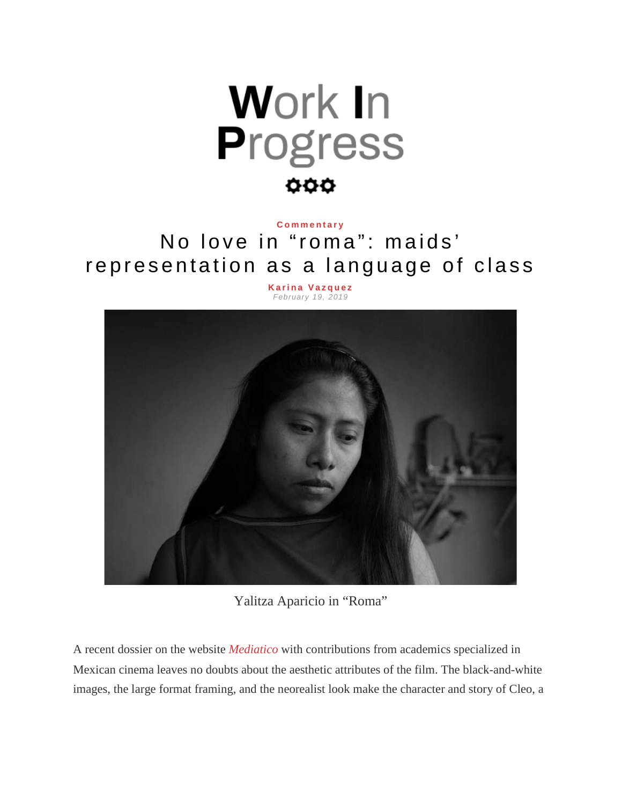

## **[Commentary](http://www.wipsociology.org/category/commentary/)**

## No love in "roma": maids' representation as a language of class

**[Karina Vazquez](http://www.wipsociology.org/author/kvazquez/)** *February 19, 2019*



Yalitza Aparicio in "Roma"

A recent dossier on the website *[Mediatico](http://reframe.sussex.ac.uk/mediatico/2018/12/24/introduction-to-the-special-dossier-on-roma-alfonso-cuaron/)* with contributions from academics specialized in Mexican cinema leaves no doubts about the aesthetic attributes of the film. The black-and-white images, the large format framing, and the neorealist look make the character and story of Cleo, a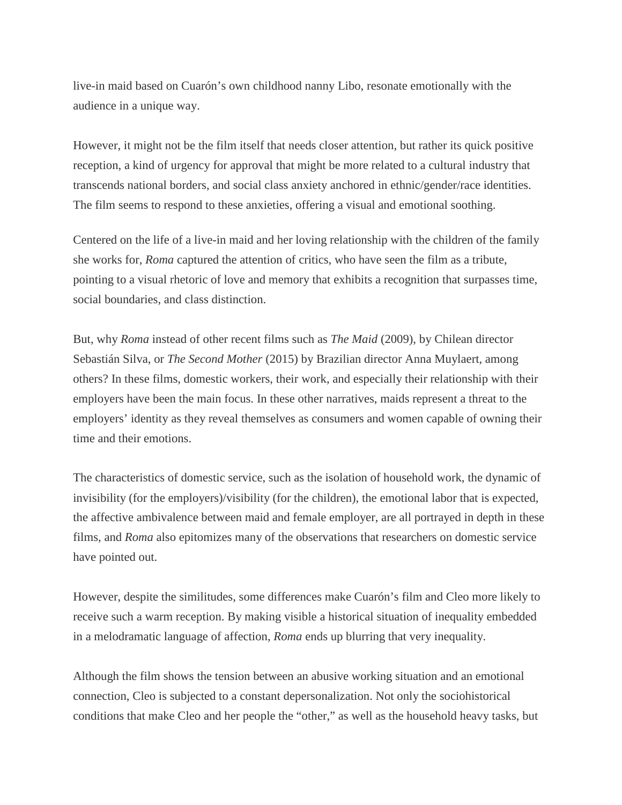live-in maid based on Cuarón's own childhood nanny Libo, resonate emotionally with the audience in a unique way.

However, it might not be the film itself that needs closer attention, but rather its quick positive reception, a kind of urgency for approval that might be more related to a cultural industry that transcends national borders, and social class anxiety anchored in ethnic/gender/race identities. The film seems to respond to these anxieties, offering a visual and emotional soothing.

Centered on the life of a live-in maid and her loving relationship with the children of the family she works for, *Roma* captured the attention of critics, who have seen the film as a tribute, pointing to a visual rhetoric of love and memory that exhibits a recognition that surpasses time, social boundaries, and class distinction.

But, why *Roma* instead of other recent films such as *The Maid* (2009), by Chilean director Sebastián Silva, or *The Second Mother* (2015) by Brazilian director Anna Muylaert, among others? In these films, domestic workers, their work, and especially their relationship with their employers have been the main focus. In these other narratives, maids represent a threat to the employers' identity as they reveal themselves as consumers and women capable of owning their time and their emotions.

The characteristics of domestic service, such as the isolation of household work, the dynamic of invisibility (for the employers)/visibility (for the children), the emotional labor that is expected, the affective ambivalence between maid and female employer, are all portrayed in depth in these films, and *Roma* also epitomizes many of the observations that researchers on domestic service have pointed out.

However, despite the similitudes, some differences make Cuarón's film and Cleo more likely to receive such a warm reception. By making visible a historical situation of inequality embedded in a melodramatic language of affection, *Roma* ends up blurring that very inequality.

Although the film shows the tension between an abusive working situation and an emotional connection, Cleo is subjected to a constant depersonalization. Not only the sociohistorical conditions that make Cleo and her people the "other," as well as the household heavy tasks, but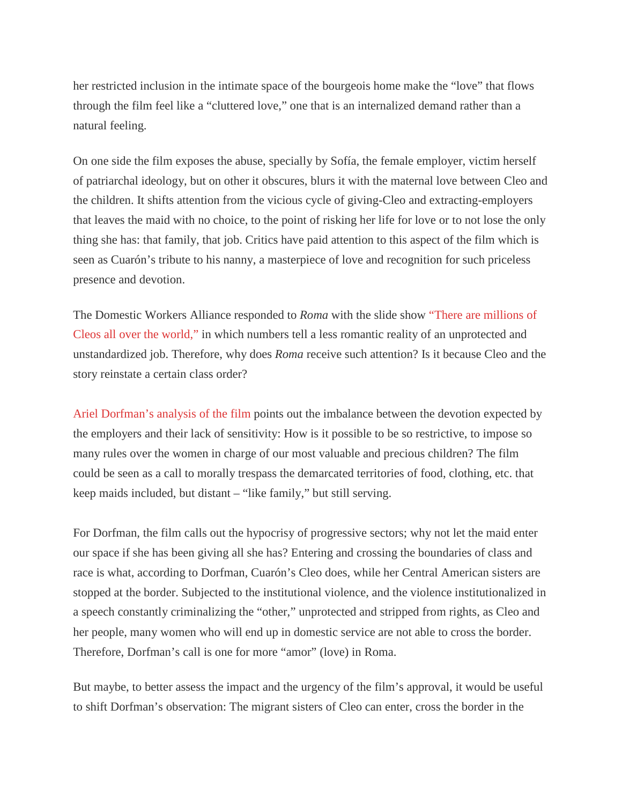her restricted inclusion in the intimate space of the bourgeois home make the "love" that flows through the film feel like a "cluttered love," one that is an internalized demand rather than a natural feeling.

On one side the film exposes the abuse, specially by Sofía, the female employer, victim herself of patriarchal ideology, but on other it obscures, blurs it with the maternal love between Cleo and the children. It shifts attention from the vicious cycle of giving-Cleo and extracting-employers that leaves the maid with no choice, to the point of risking her life for love or to not lose the only thing she has: that family, that job. Critics have paid attention to this aspect of the film which is seen as Cuarón's tribute to his nanny, a masterpiece of love and recognition for such priceless presence and devotion.

The Domestic Workers Alliance responded to *Roma* with the slide show ["There are millions of](https://roma.domesticworkers.org/)  [Cleos all over the world,"](https://roma.domesticworkers.org/) in which numbers tell a less romantic reality of an unprotected and unstandardized job. Therefore, why does *Roma* receive such attention? Is it because Cleo and the story reinstate a certain class order?

[Ariel Dorfman's analysis of the film](https://www.pagina12.com.ar/171112-todas-las-nanas-del-mundo) points out the imbalance between the devotion expected by the employers and their lack of sensitivity: How is it possible to be so restrictive, to impose so many rules over the women in charge of our most valuable and precious children? The film could be seen as a call to morally trespass the demarcated territories of food, clothing, etc. that keep maids included, but distant – "like family," but still serving.

For Dorfman, the film calls out the hypocrisy of progressive sectors; why not let the maid enter our space if she has been giving all she has? Entering and crossing the boundaries of class and race is what, according to Dorfman, Cuarón's Cleo does, while her Central American sisters are stopped at the border. Subjected to the institutional violence, and the violence institutionalized in a speech constantly criminalizing the "other," unprotected and stripped from rights, as Cleo and her people, many women who will end up in domestic service are not able to cross the border. Therefore, Dorfman's call is one for more "amor" (love) in Roma.

But maybe, to better assess the impact and the urgency of the film's approval, it would be useful to shift Dorfman's observation: The migrant sisters of Cleo can enter, cross the border in the